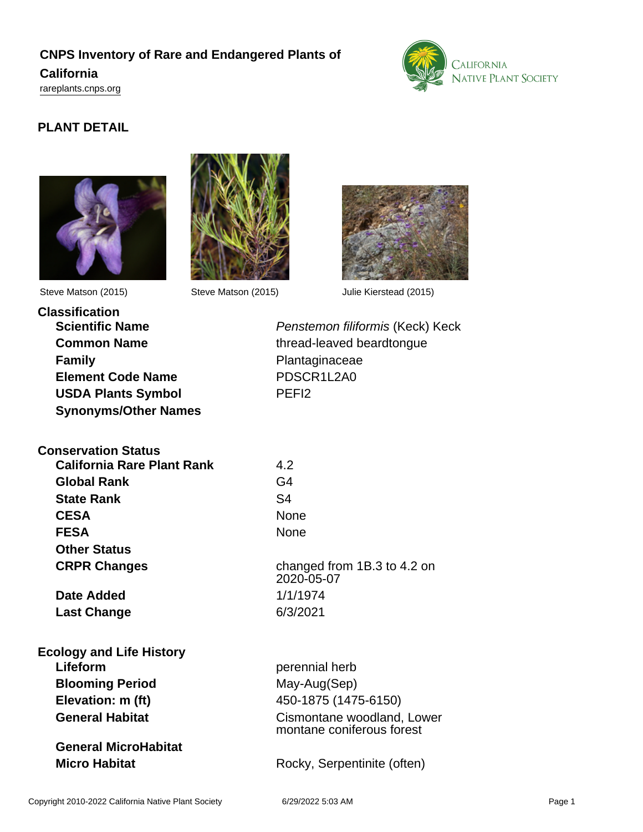### **CNPS Inventory of Rare and Endangered Plants of California**

<rareplants.cnps.org>



### **PLANT DETAIL**







Steve Matson (2015) Steve Matson (2015) Julie Kierstead (2015)

**Classification Family Plantaginaceae Element Code Name** PDSCR1L2A0 **USDA Plants Symbol** PEFI2 **Synonyms/Other Names**

**Conservation Status**

**Scientific Name Penstemon filiformis (Keck) Keck Common Name** thread-leaved beardtongue

| <b>California Rare Plant Rank</b><br>Global Rank<br><b>State Rank</b><br><b>CESA</b> | 4.2<br>G4<br>S <sub>4</sub><br>None |                     |                                           |
|--------------------------------------------------------------------------------------|-------------------------------------|---------------------|-------------------------------------------|
|                                                                                      |                                     | <b>FESA</b>         | None                                      |
|                                                                                      |                                     | <b>Other Status</b> |                                           |
|                                                                                      |                                     | <b>CRPR Changes</b> | changed from 1B.3 to 4.2 on<br>2020-05-07 |
| Date Added                                                                           | 1/1/1974                            |                     |                                           |
| <b>Last Change</b>                                                                   | 6/3/2021                            |                     |                                           |
| <b>Ecology and Life History</b>                                                      |                                     |                     |                                           |
| Lifeform                                                                             | perennial herb                      |                     |                                           |
| <b>Blooming Period</b>                                                               | May-Aug(Sep)                        |                     |                                           |
| Elevation: m (ft)                                                                    | 450-1875 (1475-6150)                |                     |                                           |
|                                                                                      |                                     |                     |                                           |

**General MicroHabitat**

**B**<br> **B Elevation: m (ft)** 450-1875 (1475-6150) **General Habitat** Cismontane woodland, Lower montane coniferous forest

**Micro Habitat** Rocky, Serpentinite (often)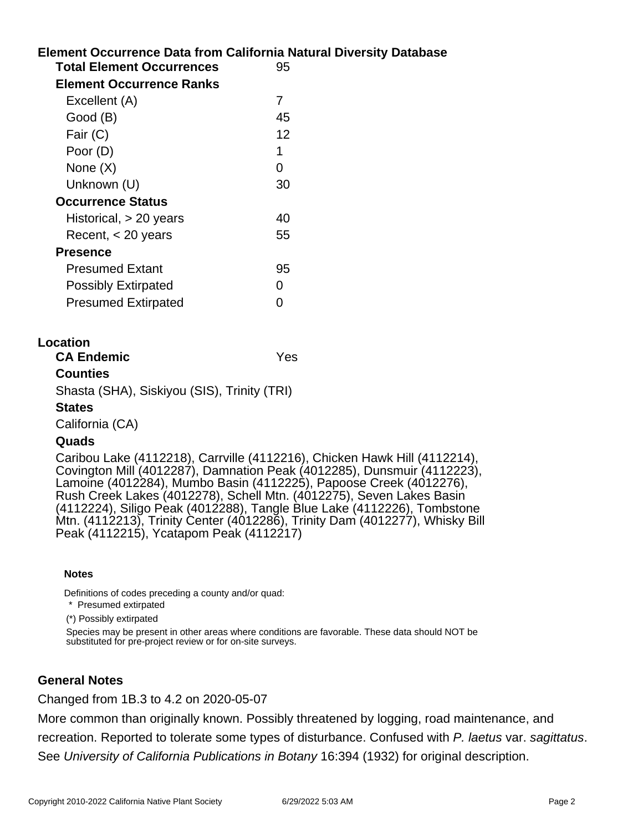# **Element Occurrence Data from California Natural Diversity Database Total Element Occurrences** 95 **Element Occurrence Ranks** Excellent (A) 7 Good (B) 45 Fair  $(C)$  12 Poor (D) 1 None  $(X)$  0 Unknown (U) 30 **Occurrence Status**  $Historical, > 20 \text{ years}$  40  $Recent,  $< 20$  years 55$ **Presence** Presumed Extant 95 Possibly Extirpated 0 Presumed Extirpated 0

#### **Location**

**CA Endemic** Yes

### **Counties**

Shasta (SHA), Siskiyou (SIS), Trinity (TRI)

#### **States**

California (CA)

### **Quads**

Caribou Lake (4112218), Carrville (4112216), Chicken Hawk Hill (4112214), Covington Mill (4012287), Damnation Peak (4012285), Dunsmuir (4112223), Lamoine (4012284), Mumbo Basin (4112225), Papoose Creek (4012276), Rush Creek Lakes (4012278), Schell Mtn. (4012275), Seven Lakes Basin (4112224), Siligo Peak (4012288), Tangle Blue Lake (4112226), Tombstone Mtn. (4112213), Trinity Center (4012286), Trinity Dam (4012277), Whisky Bill Peak (4112215), Ycatapom Peak (4112217)

#### **Notes**

Definitions of codes preceding a county and/or quad:

\* Presumed extirpated

(\*) Possibly extirpated

Species may be present in other areas where conditions are favorable. These data should NOT be substituted for pre-project review or for on-site surveys.

### **General Notes**

Changed from 1B.3 to 4.2 on 2020-05-07

More common than originally known. Possibly threatened by logging, road maintenance, and recreation. Reported to tolerate some types of disturbance. Confused with P. laetus var. sagittatus. See University of California Publications in Botany 16:394 (1932) for original description.